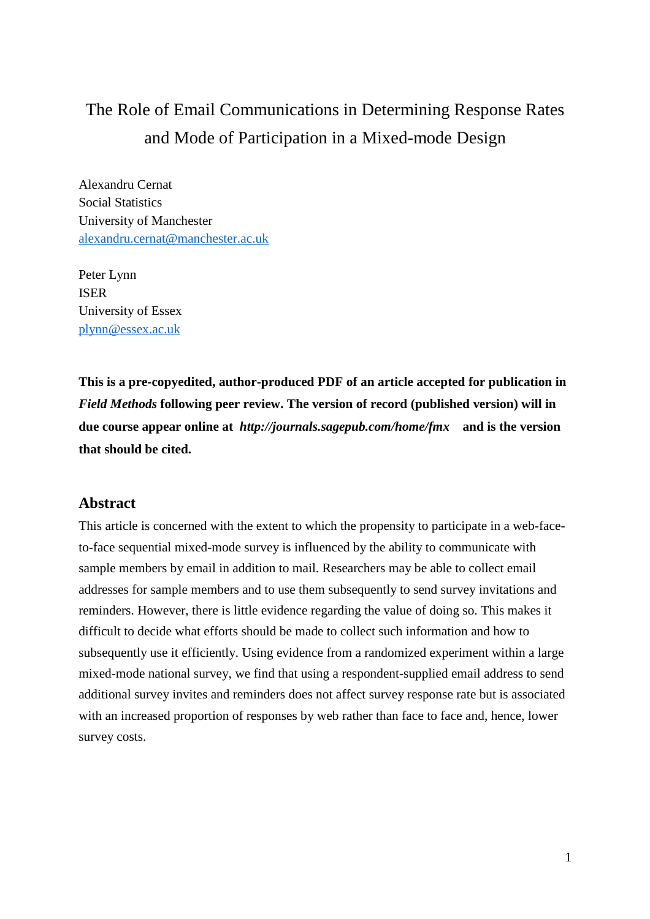# The Role of Email Communications in Determining Response Rates and Mode of Participation in a Mixed-mode Design

Alexandru Cernat Social Statistics University of Manchester alexandru.cernat@manchester.ac.uk

Peter Lynn ISER University of Essex plynn@essex.ac.uk

**This is a pre-copyedited, author-produced PDF of an article accepted for publication in**  *Field Methods* **following peer review. The version of record (published version) will in due course appear online at** *http://journals.sagepub.com/home/fmx* **and is the version that should be cited.**

# **Abstract**

This article is concerned with the extent to which the propensity to participate in a web-faceto-face sequential mixed-mode survey is influenced by the ability to communicate with sample members by email in addition to mail. Researchers may be able to collect email addresses for sample members and to use them subsequently to send survey invitations and reminders. However, there is little evidence regarding the value of doing so. This makes it difficult to decide what efforts should be made to collect such information and how to subsequently use it efficiently. Using evidence from a randomized experiment within a large mixed-mode national survey, we find that using a respondent-supplied email address to send additional survey invites and reminders does not affect survey response rate but is associated with an increased proportion of responses by web rather than face to face and, hence, lower survey costs.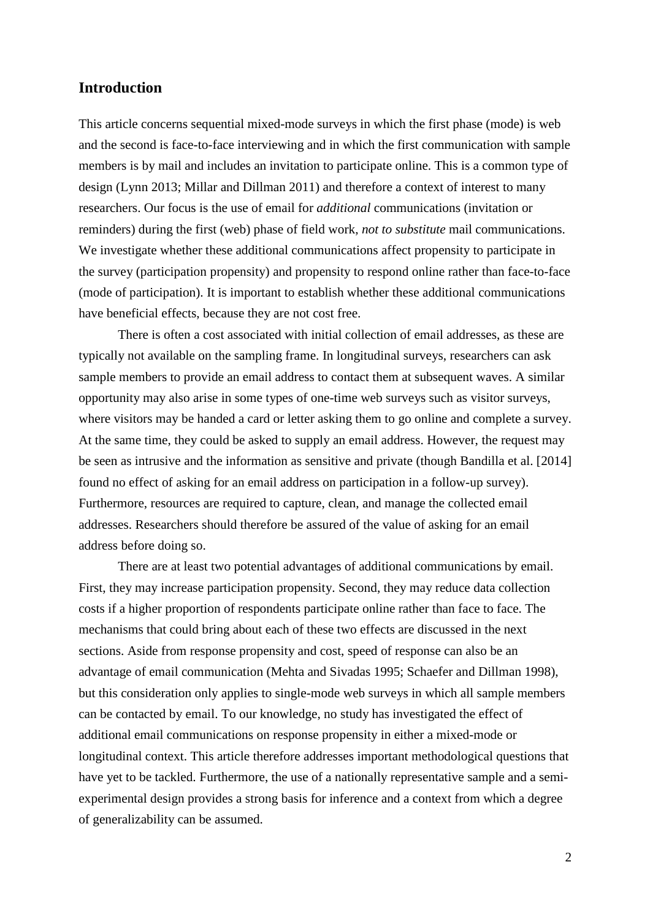# **Introduction**

This article concerns sequential mixed-mode surveys in which the first phase (mode) is web and the second is face-to-face interviewing and in which the first communication with sample members is by mail and includes an invitation to participate online. This is a common type of design (Lynn 2013; Millar and Dillman 2011) and therefore a context of interest to many researchers. Our focus is the use of email for *additional* communications (invitation or reminders) during the first (web) phase of field work, *not to substitute* mail communications. We investigate whether these additional communications affect propensity to participate in the survey (participation propensity) and propensity to respond online rather than face-to-face (mode of participation). It is important to establish whether these additional communications have beneficial effects, because they are not cost free.

There is often a cost associated with initial collection of email addresses, as these are typically not available on the sampling frame. In longitudinal surveys, researchers can ask sample members to provide an email address to contact them at subsequent waves. A similar opportunity may also arise in some types of one-time web surveys such as visitor surveys, where visitors may be handed a card or letter asking them to go online and complete a survey. At the same time, they could be asked to supply an email address. However, the request may be seen as intrusive and the information as sensitive and private (though Bandilla et al. [2014] found no effect of asking for an email address on participation in a follow-up survey). Furthermore, resources are required to capture, clean, and manage the collected email addresses. Researchers should therefore be assured of the value of asking for an email address before doing so.

There are at least two potential advantages of additional communications by email. First, they may increase participation propensity. Second, they may reduce data collection costs if a higher proportion of respondents participate online rather than face to face. The mechanisms that could bring about each of these two effects are discussed in the next sections. Aside from response propensity and cost, speed of response can also be an advantage of email communication (Mehta and Sivadas 1995; Schaefer and Dillman 1998), but this consideration only applies to single-mode web surveys in which all sample members can be contacted by email. To our knowledge, no study has investigated the effect of additional email communications on response propensity in either a mixed-mode or longitudinal context. This article therefore addresses important methodological questions that have yet to be tackled. Furthermore, the use of a nationally representative sample and a semiexperimental design provides a strong basis for inference and a context from which a degree of generalizability can be assumed.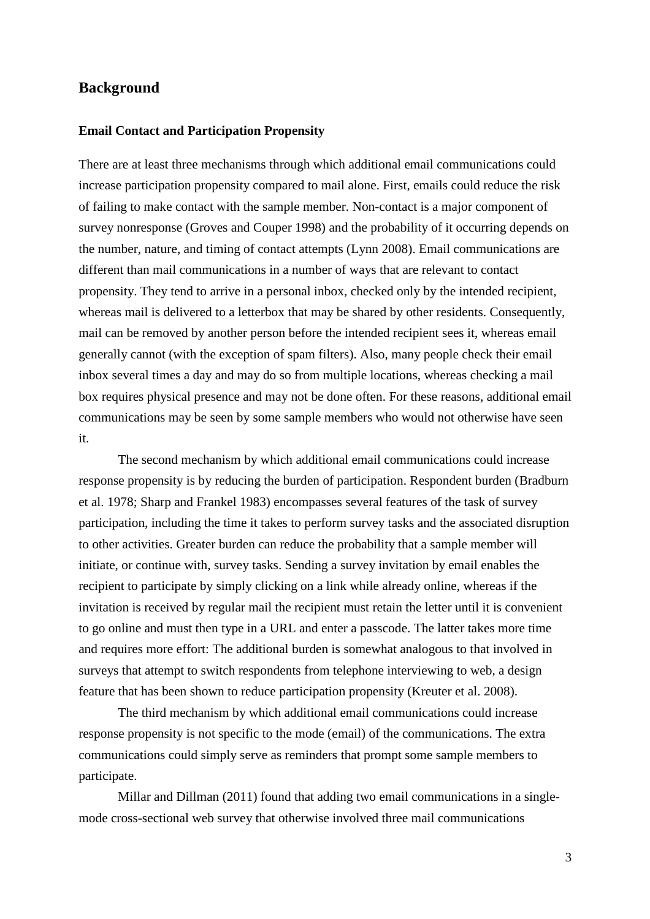## **Background**

#### **Email Contact and Participation Propensity**

There are at least three mechanisms through which additional email communications could increase participation propensity compared to mail alone. First, emails could reduce the risk of failing to make contact with the sample member. Non-contact is a major component of survey nonresponse (Groves and Couper 1998) and the probability of it occurring depends on the number, nature, and timing of contact attempts (Lynn 2008). Email communications are different than mail communications in a number of ways that are relevant to contact propensity. They tend to arrive in a personal inbox, checked only by the intended recipient, whereas mail is delivered to a letterbox that may be shared by other residents. Consequently, mail can be removed by another person before the intended recipient sees it, whereas email generally cannot (with the exception of spam filters). Also, many people check their email inbox several times a day and may do so from multiple locations, whereas checking a mail box requires physical presence and may not be done often. For these reasons, additional email communications may be seen by some sample members who would not otherwise have seen it.

The second mechanism by which additional email communications could increase response propensity is by reducing the burden of participation. Respondent burden (Bradburn et al. 1978; Sharp and Frankel 1983) encompasses several features of the task of survey participation, including the time it takes to perform survey tasks and the associated disruption to other activities. Greater burden can reduce the probability that a sample member will initiate, or continue with, survey tasks. Sending a survey invitation by email enables the recipient to participate by simply clicking on a link while already online, whereas if the invitation is received by regular mail the recipient must retain the letter until it is convenient to go online and must then type in a URL and enter a passcode. The latter takes more time and requires more effort: The additional burden is somewhat analogous to that involved in surveys that attempt to switch respondents from telephone interviewing to web, a design feature that has been shown to reduce participation propensity (Kreuter et al. 2008).

The third mechanism by which additional email communications could increase response propensity is not specific to the mode (email) of the communications. The extra communications could simply serve as reminders that prompt some sample members to participate.

Millar and Dillman (2011) found that adding two email communications in a singlemode cross-sectional web survey that otherwise involved three mail communications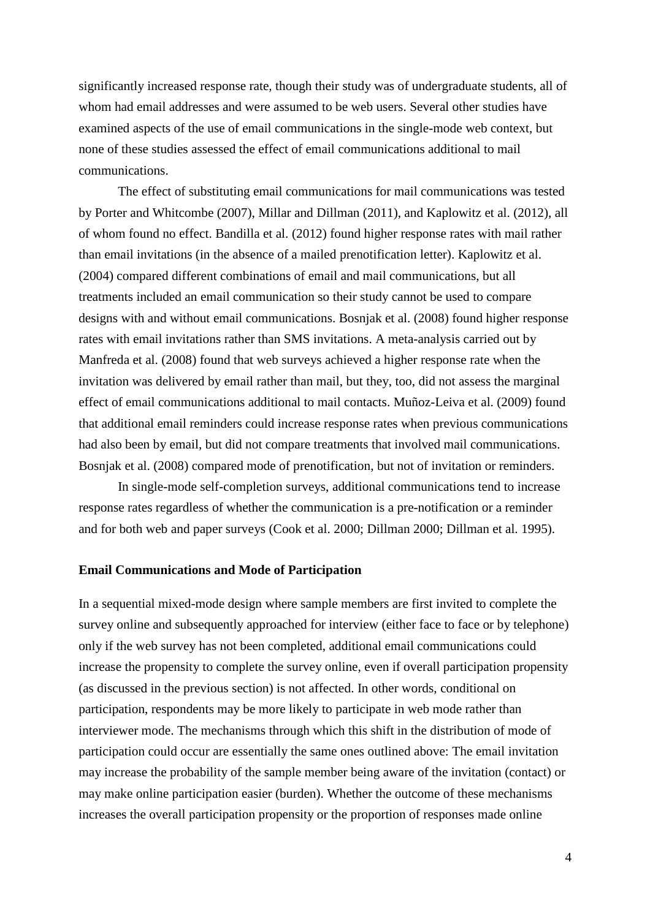significantly increased response rate, though their study was of undergraduate students, all of whom had email addresses and were assumed to be web users. Several other studies have examined aspects of the use of email communications in the single-mode web context, but none of these studies assessed the effect of email communications additional to mail communications.

The effect of substituting email communications for mail communications was tested by Porter and Whitcombe (2007), Millar and Dillman (2011), and Kaplowitz et al. (2012), all of whom found no effect. Bandilla et al. (2012) found higher response rates with mail rather than email invitations (in the absence of a mailed prenotification letter). Kaplowitz et al. (2004) compared different combinations of email and mail communications, but all treatments included an email communication so their study cannot be used to compare designs with and without email communications. Bosnjak et al. (2008) found higher response rates with email invitations rather than SMS invitations. A meta-analysis carried out by Manfreda et al. (2008) found that web surveys achieved a higher response rate when the invitation was delivered by email rather than mail, but they, too, did not assess the marginal effect of email communications additional to mail contacts. Muñoz-Leiva et al. (2009) found that additional email reminders could increase response rates when previous communications had also been by email, but did not compare treatments that involved mail communications. Bosnjak et al. (2008) compared mode of prenotification, but not of invitation or reminders.

In single-mode self-completion surveys, additional communications tend to increase response rates regardless of whether the communication is a pre-notification or a reminder and for both web and paper surveys (Cook et al. 2000; Dillman 2000; Dillman et al. 1995).

#### **Email Communications and Mode of Participation**

In a sequential mixed-mode design where sample members are first invited to complete the survey online and subsequently approached for interview (either face to face or by telephone) only if the web survey has not been completed, additional email communications could increase the propensity to complete the survey online, even if overall participation propensity (as discussed in the previous section) is not affected. In other words, conditional on participation, respondents may be more likely to participate in web mode rather than interviewer mode. The mechanisms through which this shift in the distribution of mode of participation could occur are essentially the same ones outlined above: The email invitation may increase the probability of the sample member being aware of the invitation (contact) or may make online participation easier (burden). Whether the outcome of these mechanisms increases the overall participation propensity or the proportion of responses made online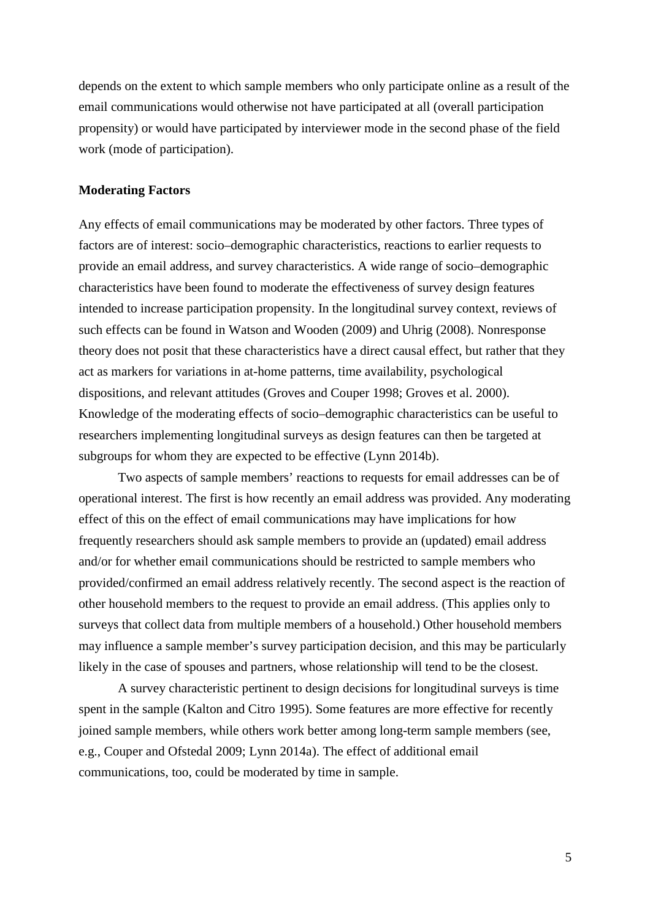depends on the extent to which sample members who only participate online as a result of the email communications would otherwise not have participated at all (overall participation propensity) or would have participated by interviewer mode in the second phase of the field work (mode of participation).

#### **Moderating Factors**

Any effects of email communications may be moderated by other factors. Three types of factors are of interest: socio–demographic characteristics, reactions to earlier requests to provide an email address, and survey characteristics. A wide range of socio–demographic characteristics have been found to moderate the effectiveness of survey design features intended to increase participation propensity. In the longitudinal survey context, reviews of such effects can be found in Watson and Wooden (2009) and Uhrig (2008). Nonresponse theory does not posit that these characteristics have a direct causal effect, but rather that they act as markers for variations in at-home patterns, time availability, psychological dispositions, and relevant attitudes (Groves and Couper 1998; Groves et al. 2000). Knowledge of the moderating effects of socio–demographic characteristics can be useful to researchers implementing longitudinal surveys as design features can then be targeted at subgroups for whom they are expected to be effective (Lynn 2014b).

Two aspects of sample members' reactions to requests for email addresses can be of operational interest. The first is how recently an email address was provided. Any moderating effect of this on the effect of email communications may have implications for how frequently researchers should ask sample members to provide an (updated) email address and/or for whether email communications should be restricted to sample members who provided/confirmed an email address relatively recently. The second aspect is the reaction of other household members to the request to provide an email address. (This applies only to surveys that collect data from multiple members of a household.) Other household members may influence a sample member's survey participation decision, and this may be particularly likely in the case of spouses and partners, whose relationship will tend to be the closest.

A survey characteristic pertinent to design decisions for longitudinal surveys is time spent in the sample (Kalton and Citro 1995). Some features are more effective for recently joined sample members, while others work better among long-term sample members (see, e.g., Couper and Ofstedal 2009; Lynn 2014a). The effect of additional email communications, too, could be moderated by time in sample.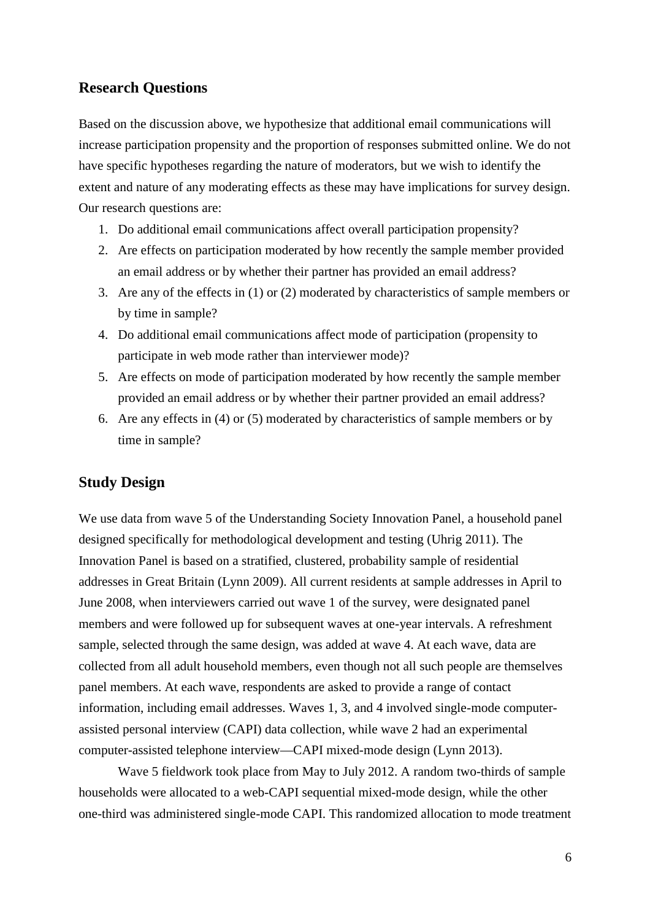# **Research Questions**

Based on the discussion above, we hypothesize that additional email communications will increase participation propensity and the proportion of responses submitted online. We do not have specific hypotheses regarding the nature of moderators, but we wish to identify the extent and nature of any moderating effects as these may have implications for survey design. Our research questions are:

- 1. Do additional email communications affect overall participation propensity?
- 2. Are effects on participation moderated by how recently the sample member provided an email address or by whether their partner has provided an email address?
- 3. Are any of the effects in (1) or (2) moderated by characteristics of sample members or by time in sample?
- 4. Do additional email communications affect mode of participation (propensity to participate in web mode rather than interviewer mode)?
- 5. Are effects on mode of participation moderated by how recently the sample member provided an email address or by whether their partner provided an email address?
- 6. Are any effects in (4) or (5) moderated by characteristics of sample members or by time in sample?

# **Study Design**

We use data from wave 5 of the Understanding Society Innovation Panel, a household panel designed specifically for methodological development and testing (Uhrig 2011). The Innovation Panel is based on a stratified, clustered, probability sample of residential addresses in Great Britain (Lynn 2009). All current residents at sample addresses in April to June 2008, when interviewers carried out wave 1 of the survey, were designated panel members and were followed up for subsequent waves at one-year intervals. A refreshment sample, selected through the same design, was added at wave 4. At each wave, data are collected from all adult household members, even though not all such people are themselves panel members. At each wave, respondents are asked to provide a range of contact information, including email addresses. Waves 1, 3, and 4 involved single-mode computerassisted personal interview (CAPI) data collection, while wave 2 had an experimental computer-assisted telephone interview—CAPI mixed-mode design (Lynn 2013).

Wave 5 fieldwork took place from May to July 2012. A random two-thirds of sample households were allocated to a web-CAPI sequential mixed-mode design, while the other one-third was administered single-mode CAPI. This randomized allocation to mode treatment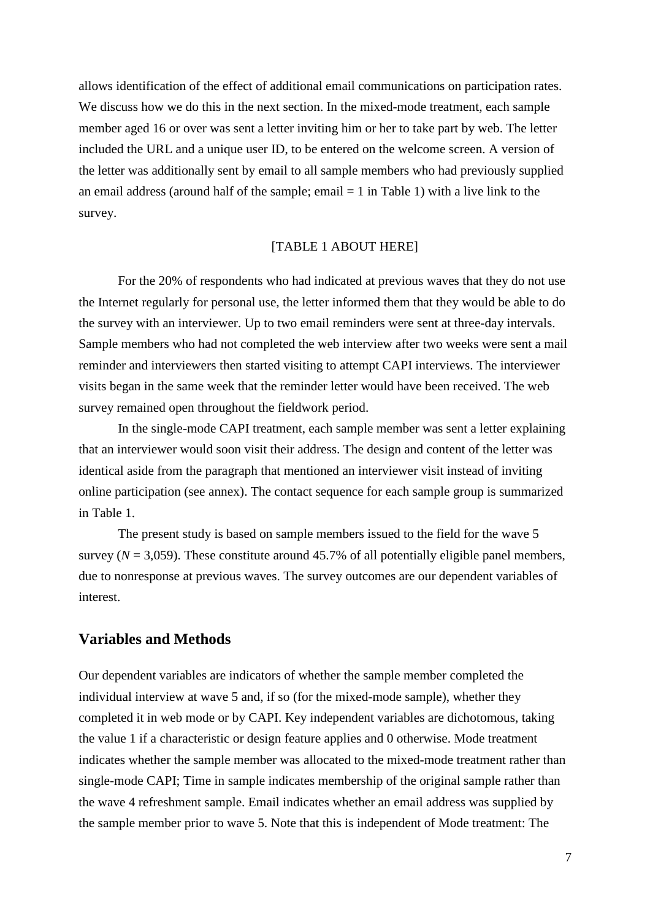allows identification of the effect of additional email communications on participation rates. We discuss how we do this in the next section. In the mixed-mode treatment, each sample member aged 16 or over was sent a letter inviting him or her to take part by web. The letter included the URL and a unique user ID, to be entered on the welcome screen. A version of the letter was additionally sent by email to all sample members who had previously supplied an email address (around half of the sample; email  $= 1$  in Table 1) with a live link to the survey.

#### [TABLE 1 ABOUT HERE]

For the 20% of respondents who had indicated at previous waves that they do not use the Internet regularly for personal use, the letter informed them that they would be able to do the survey with an interviewer. Up to two email reminders were sent at three-day intervals. Sample members who had not completed the web interview after two weeks were sent a mail reminder and interviewers then started visiting to attempt CAPI interviews. The interviewer visits began in the same week that the reminder letter would have been received. The web survey remained open throughout the fieldwork period.

In the single-mode CAPI treatment, each sample member was sent a letter explaining that an interviewer would soon visit their address. The design and content of the letter was identical aside from the paragraph that mentioned an interviewer visit instead of inviting online participation (see annex). The contact sequence for each sample group is summarized in Table 1.

The present study is based on sample members issued to the field for the wave 5 survey ( $N = 3,059$ ). These constitute around 45.7% of all potentially eligible panel members, due to nonresponse at previous waves. The survey outcomes are our dependent variables of interest.

### **Variables and Methods**

Our dependent variables are indicators of whether the sample member completed the individual interview at wave 5 and, if so (for the mixed-mode sample), whether they completed it in web mode or by CAPI. Key independent variables are dichotomous, taking the value 1 if a characteristic or design feature applies and 0 otherwise. Mode treatment indicates whether the sample member was allocated to the mixed-mode treatment rather than single-mode CAPI; Time in sample indicates membership of the original sample rather than the wave 4 refreshment sample. Email indicates whether an email address was supplied by the sample member prior to wave 5. Note that this is independent of Mode treatment: The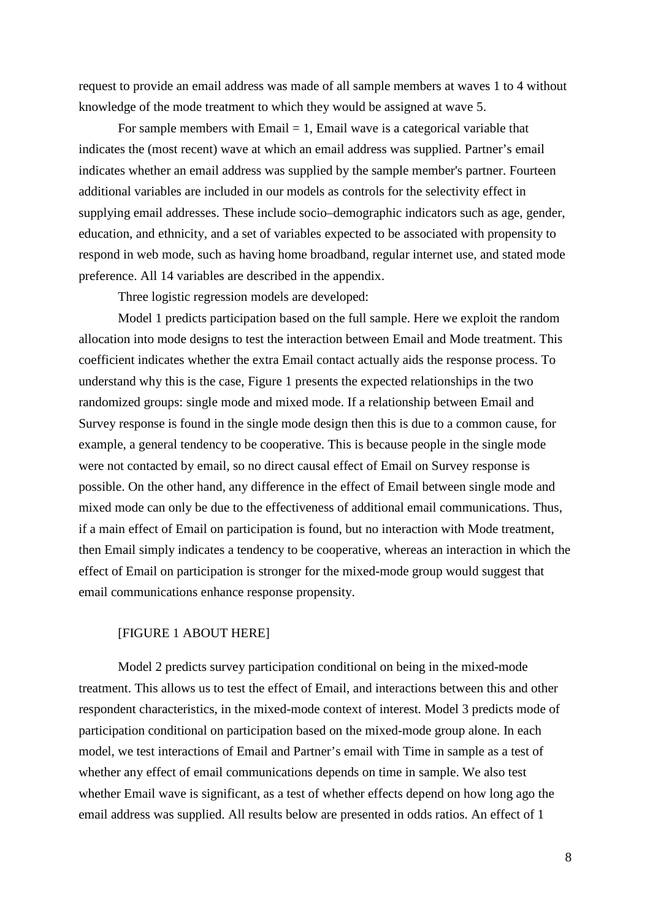request to provide an email address was made of all sample members at waves 1 to 4 without knowledge of the mode treatment to which they would be assigned at wave 5.

For sample members with  $Email = 1$ , Email wave is a categorical variable that indicates the (most recent) wave at which an email address was supplied. Partner's email indicates whether an email address was supplied by the sample member's partner. Fourteen additional variables are included in our models as controls for the selectivity effect in supplying email addresses. These include socio–demographic indicators such as age, gender, education, and ethnicity, and a set of variables expected to be associated with propensity to respond in web mode, such as having home broadband, regular internet use, and stated mode preference. All 14 variables are described in the appendix.

Three logistic regression models are developed:

Model 1 predicts participation based on the full sample. Here we exploit the random allocation into mode designs to test the interaction between Email and Mode treatment. This coefficient indicates whether the extra Email contact actually aids the response process. To understand why this is the case, Figure 1 presents the expected relationships in the two randomized groups: single mode and mixed mode. If a relationship between Email and Survey response is found in the single mode design then this is due to a common cause, for example, a general tendency to be cooperative. This is because people in the single mode were not contacted by email, so no direct causal effect of Email on Survey response is possible. On the other hand, any difference in the effect of Email between single mode and mixed mode can only be due to the effectiveness of additional email communications. Thus, if a main effect of Email on participation is found, but no interaction with Mode treatment, then Email simply indicates a tendency to be cooperative, whereas an interaction in which the effect of Email on participation is stronger for the mixed-mode group would suggest that email communications enhance response propensity.

#### [FIGURE 1 ABOUT HERE]

Model 2 predicts survey participation conditional on being in the mixed-mode treatment. This allows us to test the effect of Email, and interactions between this and other respondent characteristics, in the mixed-mode context of interest. Model 3 predicts mode of participation conditional on participation based on the mixed-mode group alone. In each model, we test interactions of Email and Partner's email with Time in sample as a test of whether any effect of email communications depends on time in sample. We also test whether Email wave is significant, as a test of whether effects depend on how long ago the email address was supplied. All results below are presented in odds ratios. An effect of 1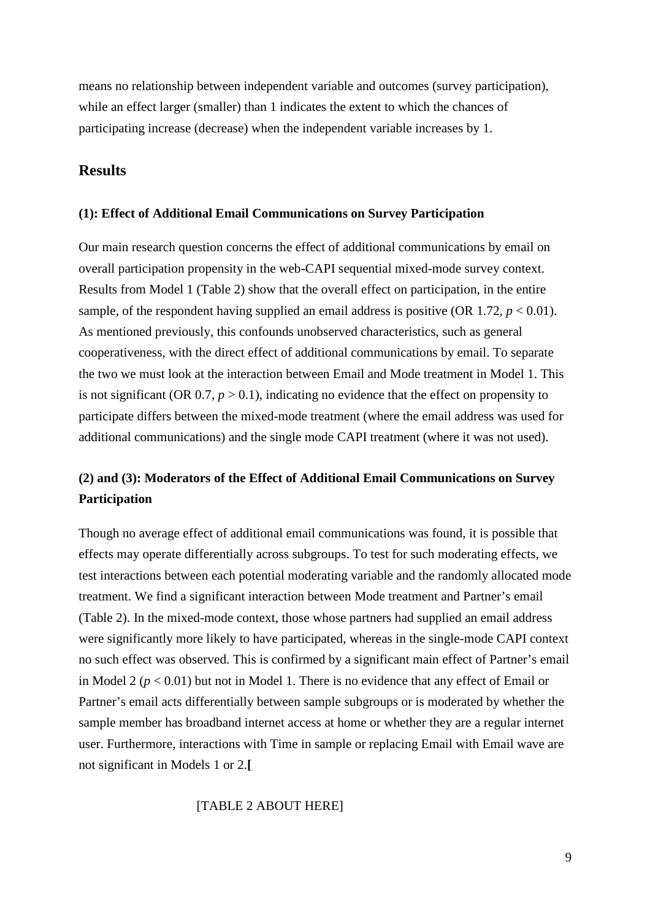means no relationship between independent variable and outcomes (survey participation), while an effect larger (smaller) than 1 indicates the extent to which the chances of participating increase (decrease) when the independent variable increases by 1.

# **Results**

#### **(1): Effect of Additional Email Communications on Survey Participation**

Our main research question concerns the effect of additional communications by email on overall participation propensity in the web-CAPI sequential mixed-mode survey context. Results from Model 1 (Table 2) show that the overall effect on participation, in the entire sample, of the respondent having supplied an email address is positive (OR 1.72,  $p < 0.01$ ). As mentioned previously, this confounds unobserved characteristics, such as general cooperativeness, with the direct effect of additional communications by email. To separate the two we must look at the interaction between Email and Mode treatment in Model 1. This is not significant (OR  $0.7$ ,  $p > 0.1$ ), indicating no evidence that the effect on propensity to participate differs between the mixed-mode treatment (where the email address was used for additional communications) and the single mode CAPI treatment (where it was not used).

# **(2) and (3): Moderators of the Effect of Additional Email Communications on Survey Participation**

Though no average effect of additional email communications was found, it is possible that effects may operate differentially across subgroups. To test for such moderating effects, we test interactions between each potential moderating variable and the randomly allocated mode treatment. We find a significant interaction between Mode treatment and Partner's email (Table 2). In the mixed-mode context, those whose partners had supplied an email address were significantly more likely to have participated, whereas in the single-mode CAPI context no such effect was observed. This is confirmed by a significant main effect of Partner's email in Model 2 (*p* < 0.01) but not in Model 1. There is no evidence that any effect of Email or Partner's email acts differentially between sample subgroups or is moderated by whether the sample member has broadband internet access at home or whether they are a regular internet user. Furthermore, interactions with Time in sample or replacing Email with Email wave are not significant in Models 1 or 2.**[**

#### [TABLE 2 ABOUT HERE]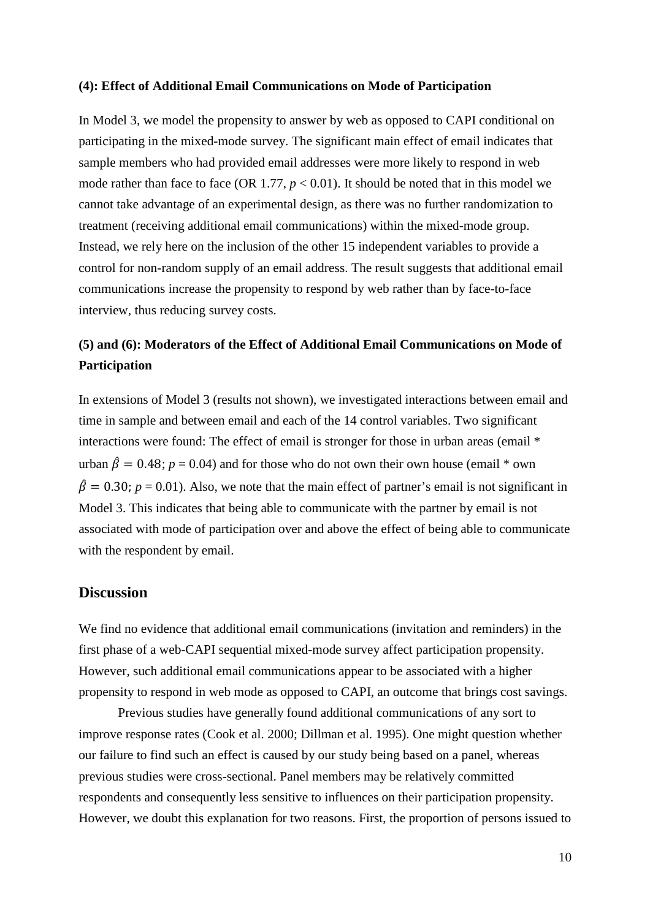#### **(4): Effect of Additional Email Communications on Mode of Participation**

In Model 3, we model the propensity to answer by web as opposed to CAPI conditional on participating in the mixed-mode survey. The significant main effect of email indicates that sample members who had provided email addresses were more likely to respond in web mode rather than face to face (OR 1.77,  $p < 0.01$ ). It should be noted that in this model we cannot take advantage of an experimental design, as there was no further randomization to treatment (receiving additional email communications) within the mixed-mode group. Instead, we rely here on the inclusion of the other 15 independent variables to provide a control for non-random supply of an email address. The result suggests that additional email communications increase the propensity to respond by web rather than by face-to-face interview, thus reducing survey costs.

# **(5) and (6): Moderators of the Effect of Additional Email Communications on Mode of Participation**

In extensions of Model 3 (results not shown), we investigated interactions between email and time in sample and between email and each of the 14 control variables. Two significant interactions were found: The effect of email is stronger for those in urban areas (email \* urban  $\hat{\beta} = 0.48$ ;  $p = 0.04$ ) and for those who do not own their own house (email \* own  $\hat{\beta} = 0.30$ ;  $p = 0.01$ ). Also, we note that the main effect of partner's email is not significant in Model 3. This indicates that being able to communicate with the partner by email is not associated with mode of participation over and above the effect of being able to communicate with the respondent by email.

## **Discussion**

We find no evidence that additional email communications (invitation and reminders) in the first phase of a web-CAPI sequential mixed-mode survey affect participation propensity. However, such additional email communications appear to be associated with a higher propensity to respond in web mode as opposed to CAPI, an outcome that brings cost savings.

Previous studies have generally found additional communications of any sort to improve response rates (Cook et al. 2000; Dillman et al. 1995). One might question whether our failure to find such an effect is caused by our study being based on a panel, whereas previous studies were cross-sectional. Panel members may be relatively committed respondents and consequently less sensitive to influences on their participation propensity. However, we doubt this explanation for two reasons. First, the proportion of persons issued to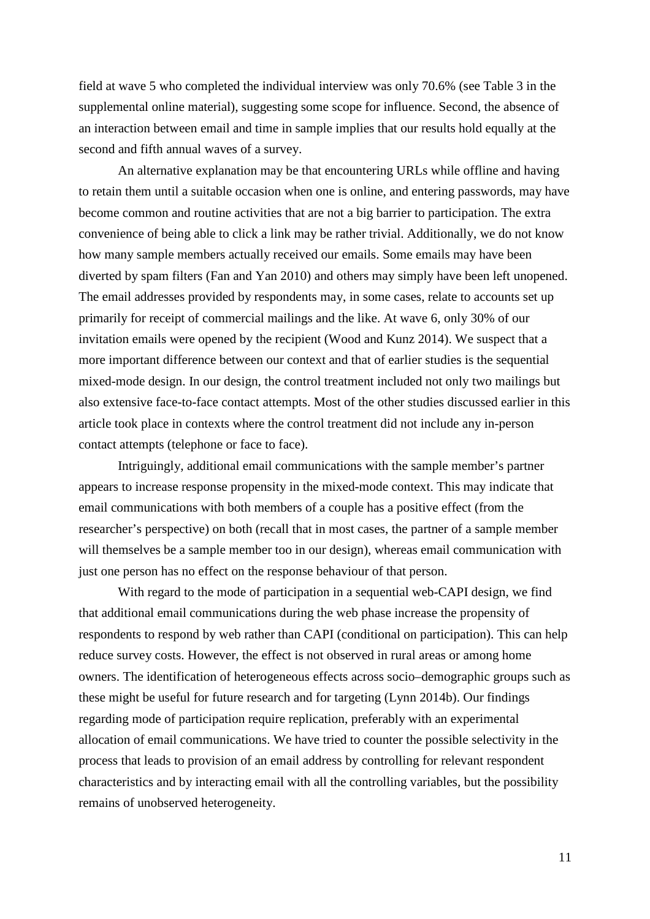field at wave 5 who completed the individual interview was only 70.6% (see Table 3 in the supplemental online material), suggesting some scope for influence. Second, the absence of an interaction between email and time in sample implies that our results hold equally at the second and fifth annual waves of a survey.

An alternative explanation may be that encountering URLs while offline and having to retain them until a suitable occasion when one is online, and entering passwords, may have become common and routine activities that are not a big barrier to participation. The extra convenience of being able to click a link may be rather trivial. Additionally, we do not know how many sample members actually received our emails. Some emails may have been diverted by spam filters (Fan and Yan 2010) and others may simply have been left unopened. The email addresses provided by respondents may, in some cases, relate to accounts set up primarily for receipt of commercial mailings and the like. At wave 6, only 30% of our invitation emails were opened by the recipient (Wood and Kunz 2014). We suspect that a more important difference between our context and that of earlier studies is the sequential mixed-mode design. In our design, the control treatment included not only two mailings but also extensive face-to-face contact attempts. Most of the other studies discussed earlier in this article took place in contexts where the control treatment did not include any in-person contact attempts (telephone or face to face).

Intriguingly, additional email communications with the sample member's partner appears to increase response propensity in the mixed-mode context. This may indicate that email communications with both members of a couple has a positive effect (from the researcher's perspective) on both (recall that in most cases, the partner of a sample member will themselves be a sample member too in our design), whereas email communication with just one person has no effect on the response behaviour of that person.

With regard to the mode of participation in a sequential web-CAPI design, we find that additional email communications during the web phase increase the propensity of respondents to respond by web rather than CAPI (conditional on participation). This can help reduce survey costs. However, the effect is not observed in rural areas or among home owners. The identification of heterogeneous effects across socio–demographic groups such as these might be useful for future research and for targeting (Lynn 2014b). Our findings regarding mode of participation require replication, preferably with an experimental allocation of email communications. We have tried to counter the possible selectivity in the process that leads to provision of an email address by controlling for relevant respondent characteristics and by interacting email with all the controlling variables, but the possibility remains of unobserved heterogeneity.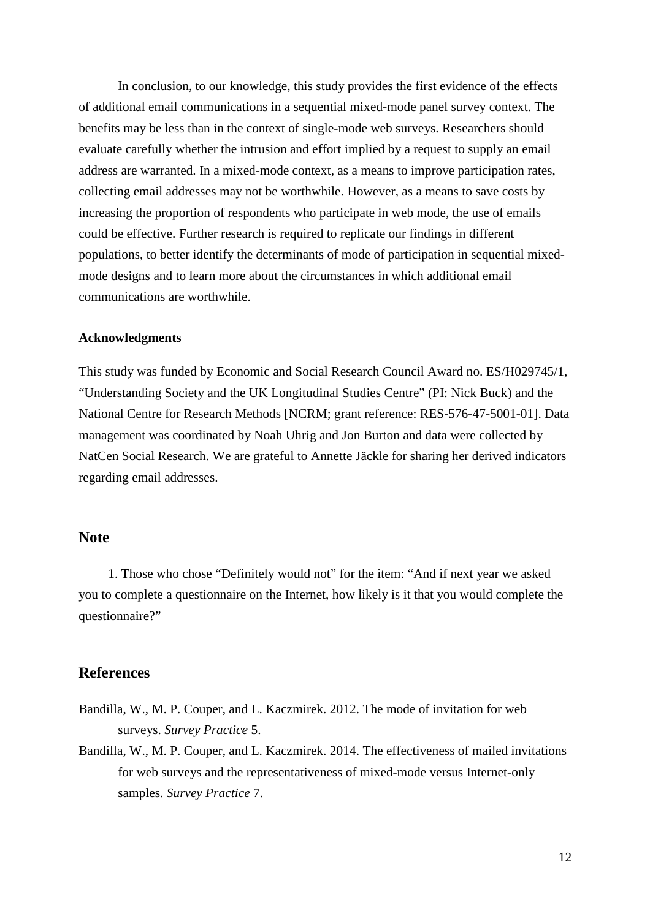In conclusion, to our knowledge, this study provides the first evidence of the effects of additional email communications in a sequential mixed-mode panel survey context. The benefits may be less than in the context of single-mode web surveys. Researchers should evaluate carefully whether the intrusion and effort implied by a request to supply an email address are warranted. In a mixed-mode context, as a means to improve participation rates, collecting email addresses may not be worthwhile. However, as a means to save costs by increasing the proportion of respondents who participate in web mode, the use of emails could be effective. Further research is required to replicate our findings in different populations, to better identify the determinants of mode of participation in sequential mixedmode designs and to learn more about the circumstances in which additional email communications are worthwhile.

#### **Acknowledgments**

This study was funded by Economic and Social Research Council Award no. ES/H029745/1, "Understanding Society and the UK Longitudinal Studies Centre" (PI: Nick Buck) and the National Centre for Research Methods [NCRM; grant reference: RES-576-47-5001-01]. Data management was coordinated by Noah Uhrig and Jon Burton and data were collected by NatCen Social Research. We are grateful to Annette Jäckle for sharing her derived indicators regarding email addresses.

# **Note**

1. Those who chose "Definitely would not" for the item: "And if next year we asked you to complete a questionnaire on the Internet, how likely is it that you would complete the questionnaire?"

### **References**

- Bandilla, W., M. P. Couper, and L. Kaczmirek. 2012. The mode of invitation for web surveys. *Survey Practice* 5.
- Bandilla, W., M. P. Couper, and L. Kaczmirek. 2014. The effectiveness of mailed invitations for web surveys and the representativeness of mixed-mode versus Internet-only samples. *Survey Practice* 7.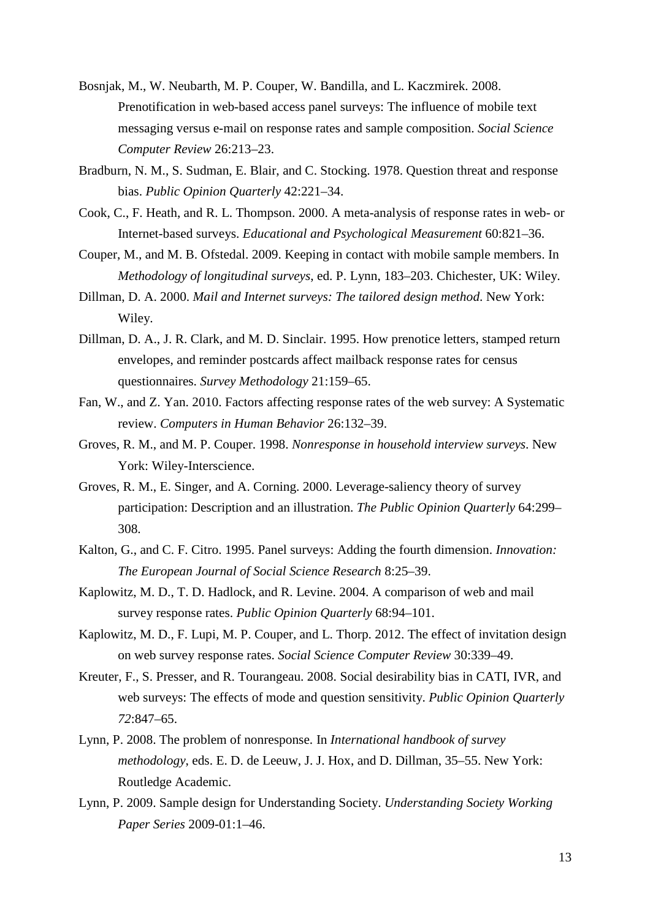- Bosnjak, M., W. Neubarth, M. P. Couper, W. Bandilla, and L. Kaczmirek. 2008. Prenotification in web-based access panel surveys: The influence of mobile text messaging versus e-mail on response rates and sample composition. *Social Science Computer Review* 26:213–23.
- Bradburn, N. M., S. Sudman, E. Blair, and C. Stocking. 1978. Question threat and response bias. *Public Opinion Quarterly* 42:221–34.
- Cook, C., F. Heath, and R. L. Thompson. 2000. A meta-analysis of response rates in web- or Internet-based surveys. *Educational and Psychological Measurement* 60:821–36.
- Couper, M., and M. B. Ofstedal. 2009. Keeping in contact with mobile sample members. In *Methodology of longitudinal surveys*, ed. P. Lynn, 183–203. Chichester, UK: Wiley.
- Dillman, D. A. 2000. *Mail and Internet surveys: The tailored design method*. New York: Wiley.
- Dillman, D. A., J. R. Clark, and M. D. Sinclair. 1995. How prenotice letters, stamped return envelopes, and reminder postcards affect mailback response rates for census questionnaires. *Survey Methodology* 21:159–65.
- Fan, W., and Z. Yan. 2010. Factors affecting response rates of the web survey: A Systematic review. *Computers in Human Behavior* 26:132–39.
- Groves, R. M., and M. P. Couper. 1998. *Nonresponse in household interview surveys*. New York: Wiley-Interscience.
- Groves, R. M., E. Singer, and A. Corning. 2000. Leverage-saliency theory of survey participation: Description and an illustration. *The Public Opinion Quarterly* 64:299– 308.
- Kalton, G., and C. F. Citro. 1995. Panel surveys: Adding the fourth dimension. *Innovation: The European Journal of Social Science Research* 8:25–39.
- Kaplowitz, M. D., T. D. Hadlock, and R. Levine. 2004. A comparison of web and mail survey response rates. *Public Opinion Quarterly* 68:94–101.
- Kaplowitz, M. D., F. Lupi, M. P. Couper, and L. Thorp. 2012. The effect of invitation design on web survey response rates. *Social Science Computer Review* 30:339–49.
- Kreuter, F., S. Presser, and R. Tourangeau. 2008. Social desirability bias in CATI, IVR, and web surveys: The effects of mode and question sensitivity. *Public Opinion Quarterly 72*:847–65.
- Lynn, P. 2008. The problem of nonresponse. In *International handbook of survey methodology*, eds. E. D. de Leeuw, J. J. Hox, and D. Dillman, 35–55. New York: Routledge Academic.
- Lynn, P. 2009. Sample design for Understanding Society. *Understanding Society Working Paper Series* 2009-01:1–46.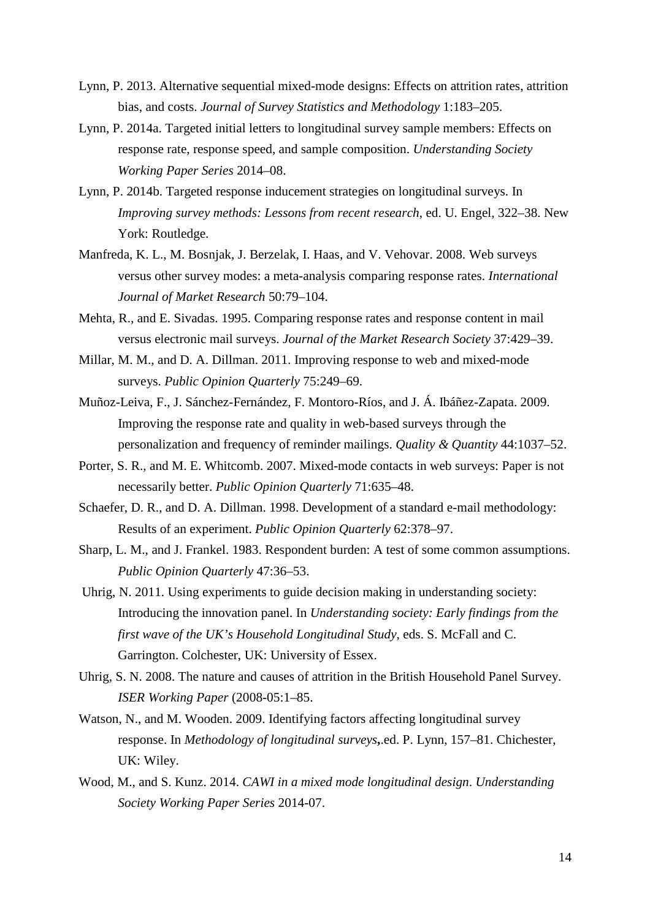- Lynn, P. 2013. Alternative sequential mixed-mode designs: Effects on attrition rates, attrition bias, and costs. *Journal of Survey Statistics and Methodology* 1:183–205.
- Lynn, P. 2014a. Targeted initial letters to longitudinal survey sample members: Effects on response rate, response speed, and sample composition. *Understanding Society Working Paper Series* 2014–08.
- Lynn, P. 2014b. Targeted response inducement strategies on longitudinal surveys. In *Improving survey methods: Lessons from recent research*, ed. U. Engel, 322–38. New York: Routledge.
- Manfreda, K. L., M. Bosnjak, J. Berzelak, I. Haas, and V. Vehovar. 2008. Web surveys versus other survey modes: a meta-analysis comparing response rates. *International Journal of Market Research* 50:79–104.
- Mehta, R., and E. Sivadas. 1995. Comparing response rates and response content in mail versus electronic mail surveys. *Journal of the Market Research Society* 37:429–39.
- Millar, M. M., and D. A. Dillman. 2011. Improving response to web and mixed-mode surveys. *Public Opinion Quarterly* 75:249–69.
- Muñoz-Leiva, F., J. Sánchez-Fernández, F. Montoro-Ríos, and J. Á. Ibáñez-Zapata. 2009. Improving the response rate and quality in web-based surveys through the personalization and frequency of reminder mailings. *Quality & Quantity* 44:1037–52.
- Porter, S. R., and M. E. Whitcomb. 2007. Mixed-mode contacts in web surveys: Paper is not necessarily better. *Public Opinion Quarterly* 71:635–48.
- Schaefer, D. R., and D. A. Dillman. 1998. Development of a standard e-mail methodology: Results of an experiment. *Public Opinion Quarterly* 62:378–97.
- Sharp, L. M., and J. Frankel. 1983. Respondent burden: A test of some common assumptions. *Public Opinion Quarterly* 47:36–53.
- Uhrig, N. 2011. Using experiments to guide decision making in understanding society: Introducing the innovation panel. In *Understanding society: Early findings from the first wave of the UK's Household Longitudinal Study*, eds. S. McFall and C. Garrington. Colchester, UK: University of Essex.
- Uhrig, S. N. 2008. The nature and causes of attrition in the British Household Panel Survey. *ISER Working Paper* (2008-05:1–85.
- Watson, N., and M. Wooden. 2009. Identifying factors affecting longitudinal survey response. In *Methodology of longitudinal surveys***,**.ed. P. Lynn, 157–81. Chichester, UK: Wiley.
- Wood, M., and S. Kunz. 2014. *CAWI in a mixed mode longitudinal design*. *Understanding Society Working Paper Series* 2014-07.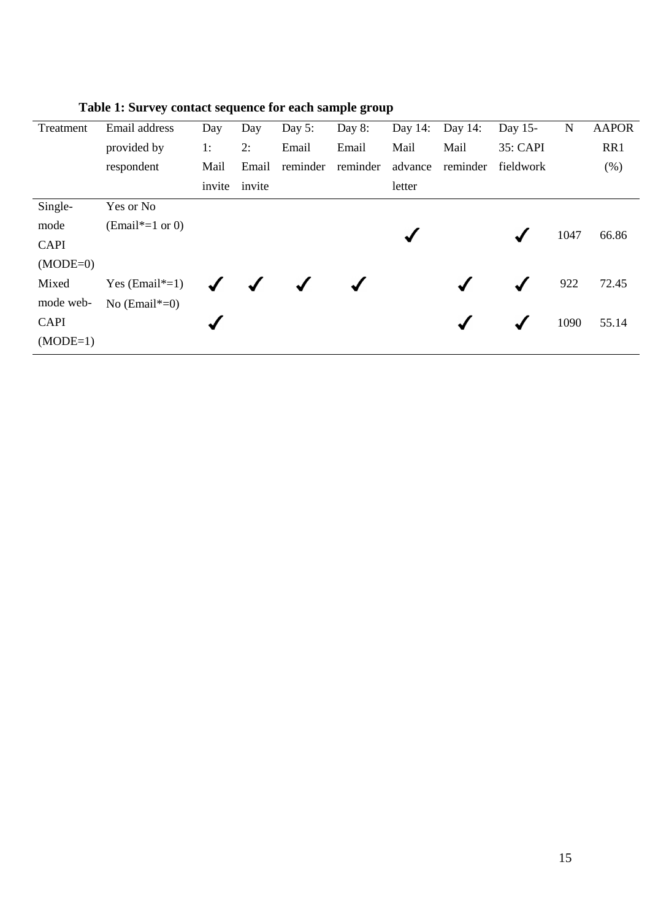| Treatment   | Email address     | Day    | Day    | Day $5$ : | Day 8:   | Day $14$ : | Day $14$ : | Day 15-   | $\mathbf N$ | <b>AAPOR</b> |
|-------------|-------------------|--------|--------|-----------|----------|------------|------------|-----------|-------------|--------------|
|             | provided by       | 1:     | 2:     | Email     | Email    | Mail       | Mail       | 35: CAPI  |             | RR1          |
|             | respondent        | Mail   | Email  | reminder  | reminder | advance    | reminder   | fieldwork |             | (% )         |
|             |                   | invite | invite |           |          | letter     |            |           |             |              |
| Single-     | Yes or No         |        |        |           |          |            |            |           |             |              |
| mode        | $(Email*-1 or 0)$ |        |        |           |          |            |            |           | 1047        | 66.86        |
| <b>CAPI</b> |                   |        |        |           |          |            |            |           |             |              |
| $(MODE=0)$  |                   |        |        |           |          |            |            |           |             |              |
| Mixed       | Yes $(Email*-1)$  |        |        |           |          |            |            |           | 922         | 72.45        |
| mode web-   | No $(Email*-0)$   |        |        |           |          |            |            |           |             |              |
| <b>CAPI</b> |                   |        |        |           |          |            |            |           | 1090        | 55.14        |
| $(MODE=1)$  |                   |        |        |           |          |            |            |           |             |              |

**Table 1: Survey contact sequence for each sample group**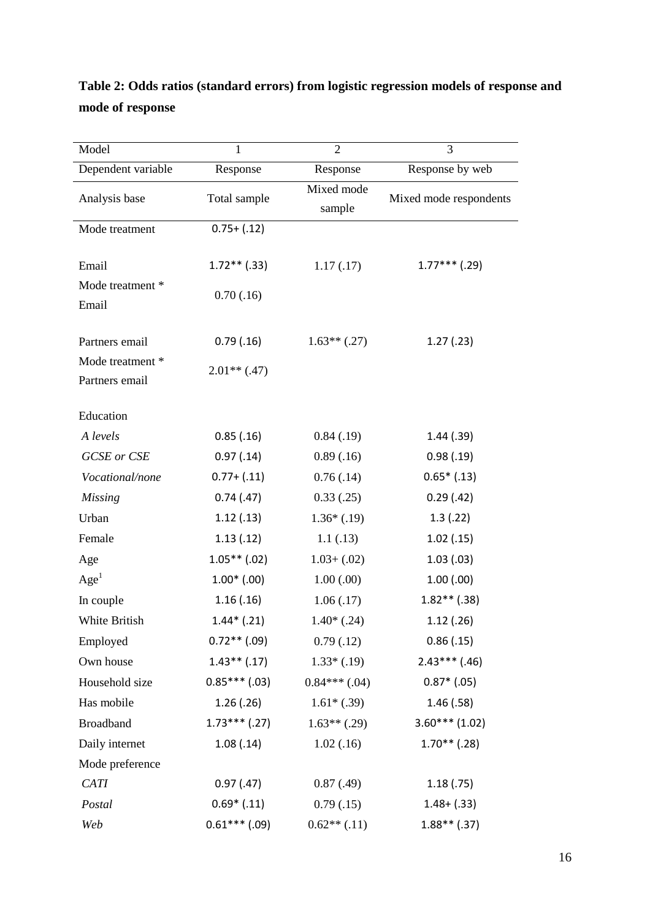# **Table 2: Odds ratios (standard errors) from logistic regression models of response and mode of response**

| Model              | $\mathbf{1}$    | $\overline{2}$                  | 3                      |  |
|--------------------|-----------------|---------------------------------|------------------------|--|
| Dependent variable | Response        | Response                        | Response by web        |  |
| Analysis base      | Total sample    | Mixed mode                      | Mixed mode respondents |  |
|                    |                 | sample                          |                        |  |
| Mode treatment     | $0.75 + (.12)$  |                                 |                        |  |
|                    |                 |                                 |                        |  |
| Email              | $1.72**$ (.33)  | 1.17(0.17)                      | $1.77***$ (.29)        |  |
| Mode treatment *   | 0.70(0.16)      |                                 |                        |  |
| Email              |                 |                                 |                        |  |
| Partners email     | 0.79(0.16)      | $1.63**$ (.27)                  | 1.27(0.23)             |  |
| Mode treatment *   |                 |                                 |                        |  |
| Partners email     | $2.01**$ (.47)  |                                 |                        |  |
|                    |                 |                                 |                        |  |
| Education          |                 |                                 |                        |  |
| A levels           | 0.85(.16)       | 0.84(.19)                       | 1.44(0.39)             |  |
| <b>GCSE</b> or CSE | 0.97(0.14)      | 0.89(0.16)                      | 0.98(0.19)             |  |
| Vocational/none    | $0.77 + (.11)$  | 0.76(.14)                       | $0.65*$ $(.13)$        |  |
| <b>Missing</b>     | 0.74(0.47)      | 0.33(0.25)                      | 0.29(0.42)             |  |
| Urban              | 1.12(.13)       | $1.36*(.19)$                    | 1.3(0.22)              |  |
| Female             | 1.13(.12)       | 1.1(0.13)                       | 1.02(0.15)             |  |
| Age                | $1.05**$ (.02)  | $1.03 + (.02)$                  | 1.03(0.03)             |  |
| Age <sup>1</sup>   | $1.00*(.00)$    | 1.00(0.00)                      | 1.00(0.00)             |  |
| In couple          | 1.16(.16)       | 1.06(0.17)                      | $1.82**$ (.38)         |  |
| White British      | $1.44*(.21)$    | $1.40*$ $(.24)$                 | 1.12(0.26)             |  |
| Employed           | $0.72**$ (.09)  | 0.79(0.12)                      | 0.86(0.15)             |  |
| Own house          | $1.43**$ (.17)  | $1.33*(.19)$                    | $2.43***$ (.46)        |  |
| Household size     |                 | $0.85***$ (.03) $0.84***$ (.04) | $0.87*$ (.05)          |  |
| Has mobile         | 1.26(.26)       | $1.61*(0.39)$                   | 1.46(0.58)             |  |
| <b>Broadband</b>   | $1.73***$ (.27) | $1.63**$ (.29)                  | $3.60***(1.02)$        |  |
| Daily internet     | 1.08(.14)       | 1.02(0.16)                      | $1.70**$ (.28)         |  |
| Mode preference    |                 |                                 |                        |  |
| <b>CATI</b>        | 0.97(0.47)      | 0.87(0.49)                      | 1.18(.75)              |  |
| Postal             | $0.69*$ $(.11)$ | 0.79(0.15)                      | $1.48 + (.33)$         |  |
| Web                | $0.61***$ (.09) | $0.62**$ (.11)                  | $1.88**$ (.37)         |  |